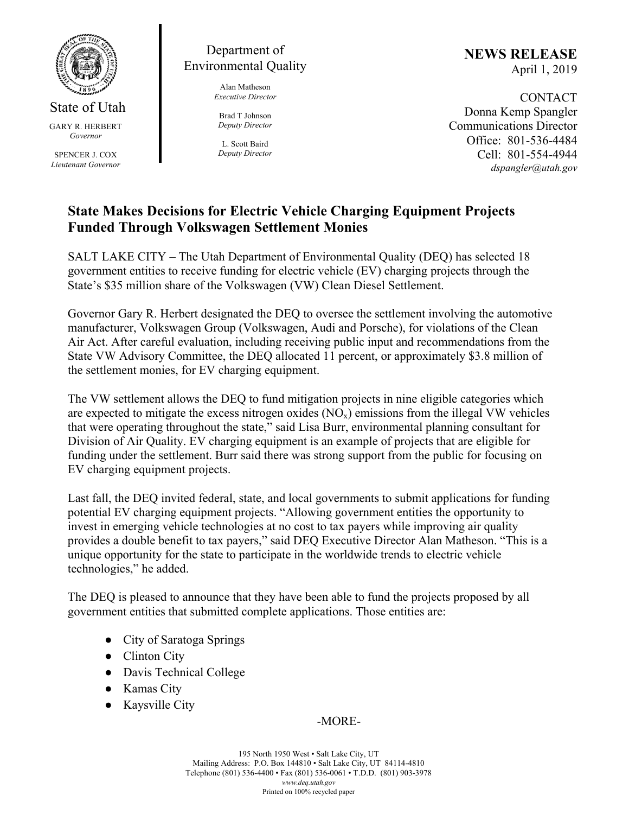

State of Utah GARY R. HERBERT *Governor* 

SPENCER J. COX *Lieutenant Governor* 

## Department of Environmental Quality

Alan Matheson *Executive Director* 

Brad T Johnson *Deputy Director* 

L. Scott Baird *Deputy Director* **NEWS RELEASE** April 1, 2019

**CONTACT** Donna Kemp Spangler Communications Director Office: 801-536-4484 Cell: 801-554-4944 *dspangler@utah.gov* 

## **State Makes Decisions for Electric Vehicle Charging Equipment Projects Funded Through Volkswagen Settlement Monies**

SALT LAKE CITY – The Utah Department of Environmental Quality (DEQ) has selected 18 government entities to receive funding for electric vehicle (EV) charging projects through the State's \$35 million share of the Volkswagen (VW) Clean Diesel Settlement.

Governor Gary R. Herbert designated the DEQ to oversee the settlement involving the automotive manufacturer, Volkswagen Group (Volkswagen, Audi and Porsche), for violations of the Clean Air Act. After careful evaluation, including receiving public input and recommendations from the State VW Advisory Committee, the DEQ allocated 11 percent, or approximately \$3.8 million of the settlement monies, for EV charging equipment.

The VW settlement allows the DEQ to fund mitigation projects in nine eligible categories which are expected to mitigate the excess nitrogen oxides  $(NO_x)$  emissions from the illegal VW vehicles that were operating throughout the state," said Lisa Burr, environmental planning consultant for Division of Air Quality. EV charging equipment is an example of projects that are eligible for funding under the settlement. Burr said there was strong support from the public for focusing on EV charging equipment projects.

Last fall, the DEQ invited federal, state, and local governments to submit applications for funding potential EV charging equipment projects. "Allowing government entities the opportunity to invest in emerging vehicle technologies at no cost to tax payers while improving air quality provides a double benefit to tax payers," said DEQ Executive Director Alan Matheson. "This is a unique opportunity for the state to participate in the worldwide trends to electric vehicle technologies," he added.

The DEQ is pleased to announce that they have been able to fund the projects proposed by all government entities that submitted complete applications. Those entities are:

- City of Saratoga Springs
- Clinton City
- Davis Technical College
- Kamas City
- Kaysville City

## -MORE-

195 North 1950 West • Salt Lake City, UT Mailing Address: P.O. Box 144810 • Salt Lake City, UT 84114-4810 Telephone (801) 536-4400 • Fax (801) 536-0061 • T.D.D. (801) 903-3978 *www.deq.utah.gov*  Printed on 100% recycled paper